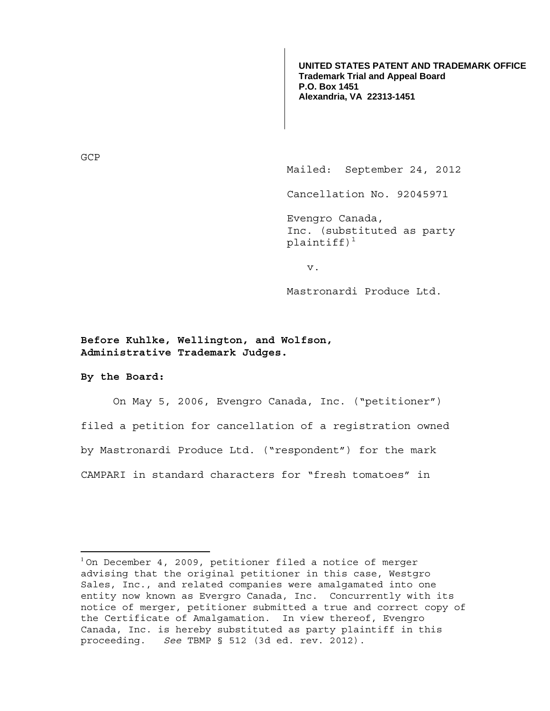**UNITED STATES PATENT AND TRADEMARK OFFICE Trademark Trial and Appeal Board P.O. Box 1451 Alexandria, VA 22313-1451**

GCP

Mailed: September 24, 2012

Cancellation No. 92045971

Evengro Canada, Inc. (substituted as party plaintiff) $1$ 

v.

Mastronardi Produce Ltd.

**Before Kuhlke, Wellington, and Wolfson, Administrative Trademark Judges.** 

**By the Board:** 

 $\overline{a}$ 

On May 5, 2006, Evengro Canada, Inc. ("petitioner") filed a petition for cancellation of a registration owned by Mastronardi Produce Ltd. ("respondent") for the mark CAMPARI in standard characters for "fresh tomatoes" in

<sup>&</sup>lt;sup>1</sup> On December 4, 2009, petitioner filed a notice of merger advising that the original petitioner in this case, Westgro Sales, Inc., and related companies were amalgamated into one entity now known as Evergro Canada, Inc. Concurrently with its notice of merger, petitioner submitted a true and correct copy of the Certificate of Amalgamation. In view thereof, Evengro Canada, Inc. is hereby substituted as party plaintiff in this proceeding. *See* TBMP § 512 (3d ed. rev. 2012).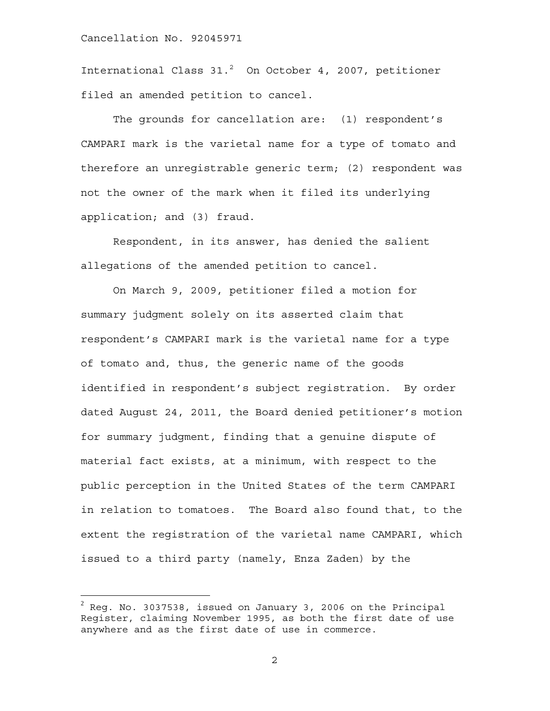International Class 31.<sup>2</sup> On October 4, 2007, petitioner filed an amended petition to cancel.

The grounds for cancellation are: (1) respondent's CAMPARI mark is the varietal name for a type of tomato and therefore an unregistrable generic term; (2) respondent was not the owner of the mark when it filed its underlying application; and (3) fraud.

Respondent, in its answer, has denied the salient allegations of the amended petition to cancel.

 On March 9, 2009, petitioner filed a motion for summary judgment solely on its asserted claim that respondent's CAMPARI mark is the varietal name for a type of tomato and, thus, the generic name of the goods identified in respondent's subject registration. By order dated August 24, 2011, the Board denied petitioner's motion for summary judgment, finding that a genuine dispute of material fact exists, at a minimum, with respect to the public perception in the United States of the term CAMPARI in relation to tomatoes. The Board also found that, to the extent the registration of the varietal name CAMPARI, which issued to a third party (namely, Enza Zaden) by the

 $\overline{a}$ 

 $^2$  Reg. No. 3037538, issued on January 3, 2006 on the Principal Register, claiming November 1995, as both the first date of use anywhere and as the first date of use in commerce.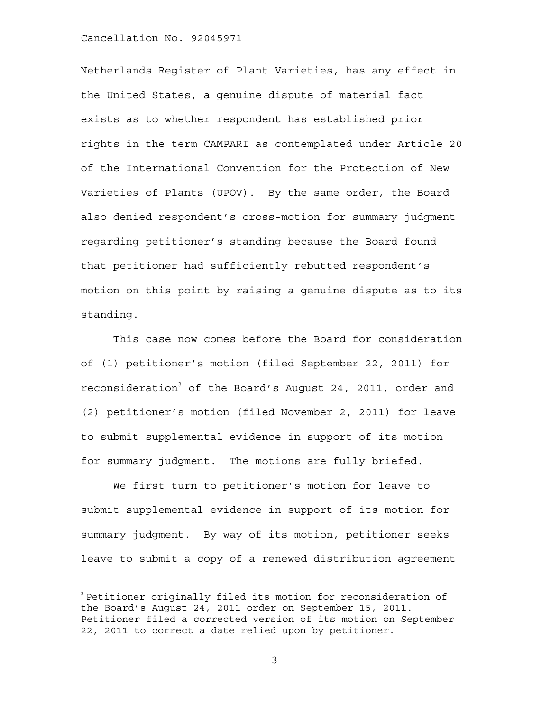$\overline{a}$ 

Netherlands Register of Plant Varieties, has any effect in the United States, a genuine dispute of material fact exists as to whether respondent has established prior rights in the term CAMPARI as contemplated under Article 20 of the International Convention for the Protection of New Varieties of Plants (UPOV). By the same order, the Board also denied respondent's cross-motion for summary judgment regarding petitioner's standing because the Board found that petitioner had sufficiently rebutted respondent's motion on this point by raising a genuine dispute as to its standing.

This case now comes before the Board for consideration of (1) petitioner's motion (filed September 22, 2011) for reconsideration<sup>3</sup> of the Board's August 24, 2011, order and (2) petitioner's motion (filed November 2, 2011) for leave to submit supplemental evidence in support of its motion for summary judgment. The motions are fully briefed.

We first turn to petitioner's motion for leave to submit supplemental evidence in support of its motion for summary judgment. By way of its motion, petitioner seeks leave to submit a copy of a renewed distribution agreement

 $3$  Petitioner originally filed its motion for reconsideration of the Board's August 24, 2011 order on September 15, 2011. Petitioner filed a corrected version of its motion on September 22, 2011 to correct a date relied upon by petitioner.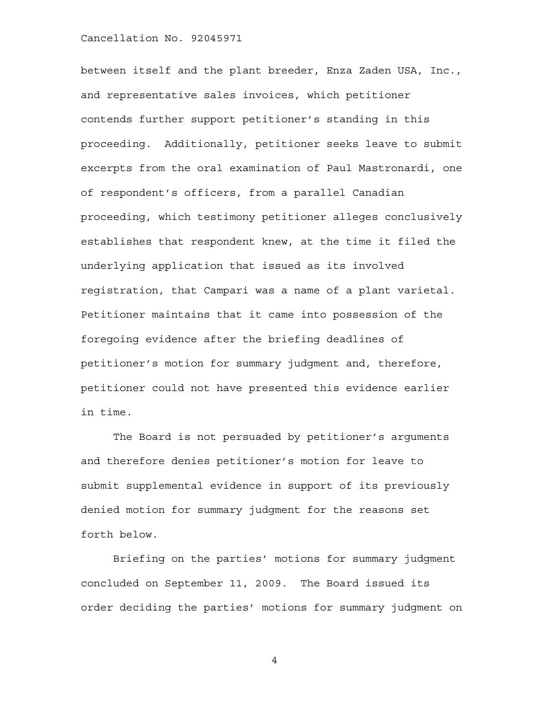between itself and the plant breeder, Enza Zaden USA, Inc., and representative sales invoices, which petitioner contends further support petitioner's standing in this proceeding. Additionally, petitioner seeks leave to submit excerpts from the oral examination of Paul Mastronardi, one of respondent's officers, from a parallel Canadian proceeding, which testimony petitioner alleges conclusively establishes that respondent knew, at the time it filed the underlying application that issued as its involved registration, that Campari was a name of a plant varietal. Petitioner maintains that it came into possession of the foregoing evidence after the briefing deadlines of petitioner's motion for summary judgment and, therefore, petitioner could not have presented this evidence earlier in time.

The Board is not persuaded by petitioner's arguments and therefore denies petitioner's motion for leave to submit supplemental evidence in support of its previously denied motion for summary judgment for the reasons set forth below.

Briefing on the parties' motions for summary judgment concluded on September 11, 2009. The Board issued its order deciding the parties' motions for summary judgment on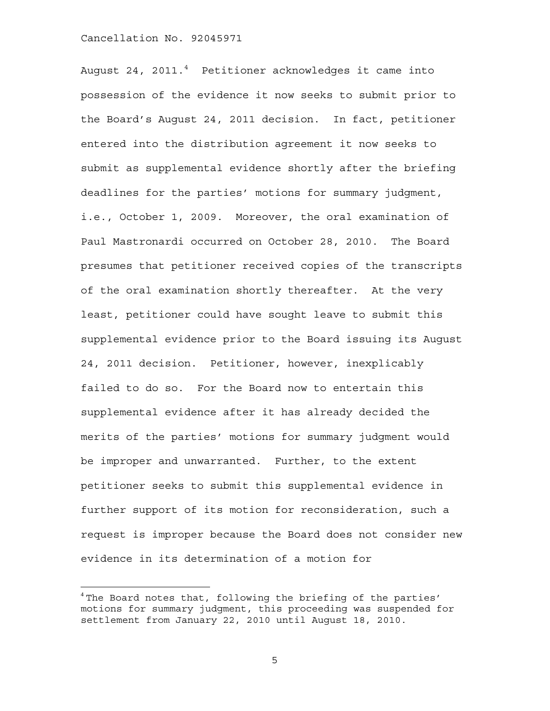$\overline{a}$ 

August 24, 2011.<sup>4</sup> Petitioner acknowledges it came into possession of the evidence it now seeks to submit prior to the Board's August 24, 2011 decision. In fact, petitioner entered into the distribution agreement it now seeks to submit as supplemental evidence shortly after the briefing deadlines for the parties' motions for summary judgment, i.e., October 1, 2009. Moreover, the oral examination of Paul Mastronardi occurred on October 28, 2010. The Board presumes that petitioner received copies of the transcripts of the oral examination shortly thereafter. At the very least, petitioner could have sought leave to submit this supplemental evidence prior to the Board issuing its August 24, 2011 decision. Petitioner, however, inexplicably failed to do so. For the Board now to entertain this supplemental evidence after it has already decided the merits of the parties' motions for summary judgment would be improper and unwarranted. Further, to the extent petitioner seeks to submit this supplemental evidence in further support of its motion for reconsideration, such a request is improper because the Board does not consider new evidence in its determination of a motion for

 $4$  The Board notes that, following the briefing of the parties' motions for summary judgment, this proceeding was suspended for settlement from January 22, 2010 until August 18, 2010.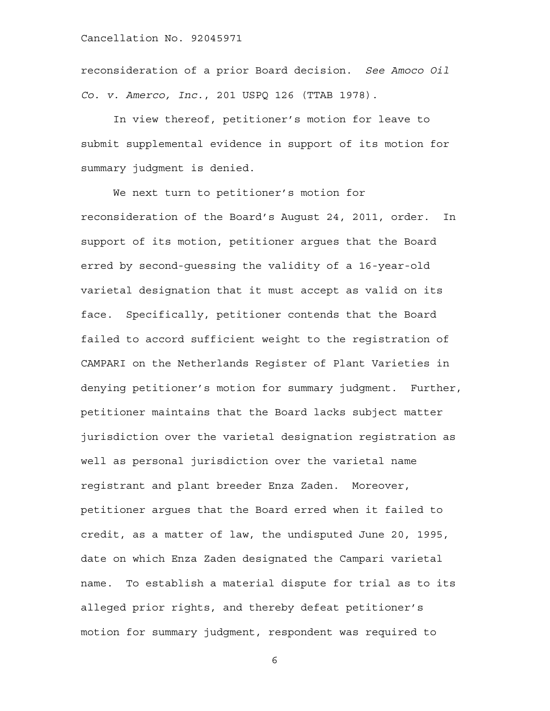reconsideration of a prior Board decision. *See Amoco Oil Co. v. Amerco, Inc.*, 201 USPQ 126 (TTAB 1978).

In view thereof, petitioner's motion for leave to submit supplemental evidence in support of its motion for summary judgment is denied.

We next turn to petitioner's motion for reconsideration of the Board's August 24, 2011, order. In support of its motion, petitioner argues that the Board erred by second-guessing the validity of a 16-year-old varietal designation that it must accept as valid on its face. Specifically, petitioner contends that the Board failed to accord sufficient weight to the registration of CAMPARI on the Netherlands Register of Plant Varieties in denying petitioner's motion for summary judgment. Further, petitioner maintains that the Board lacks subject matter jurisdiction over the varietal designation registration as well as personal jurisdiction over the varietal name registrant and plant breeder Enza Zaden. Moreover, petitioner argues that the Board erred when it failed to credit, as a matter of law, the undisputed June 20, 1995, date on which Enza Zaden designated the Campari varietal name. To establish a material dispute for trial as to its alleged prior rights, and thereby defeat petitioner's motion for summary judgment, respondent was required to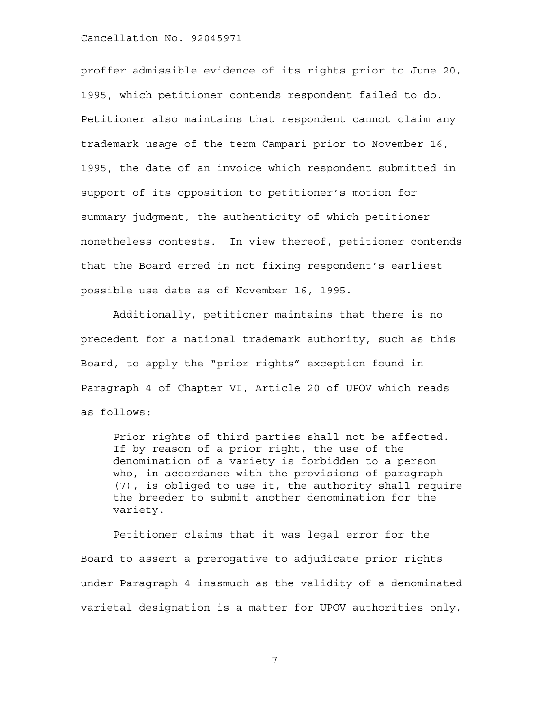proffer admissible evidence of its rights prior to June 20, 1995, which petitioner contends respondent failed to do. Petitioner also maintains that respondent cannot claim any trademark usage of the term Campari prior to November 16, 1995, the date of an invoice which respondent submitted in support of its opposition to petitioner's motion for summary judgment, the authenticity of which petitioner nonetheless contests. In view thereof, petitioner contends that the Board erred in not fixing respondent's earliest possible use date as of November 16, 1995.

Additionally, petitioner maintains that there is no precedent for a national trademark authority, such as this Board, to apply the "prior rights" exception found in Paragraph 4 of Chapter VI, Article 20 of UPOV which reads as follows:

Prior rights of third parties shall not be affected. If by reason of a prior right, the use of the denomination of a variety is forbidden to a person who, in accordance with the provisions of paragraph (7), is obliged to use it, the authority shall require the breeder to submit another denomination for the variety.

Petitioner claims that it was legal error for the Board to assert a prerogative to adjudicate prior rights under Paragraph 4 inasmuch as the validity of a denominated varietal designation is a matter for UPOV authorities only,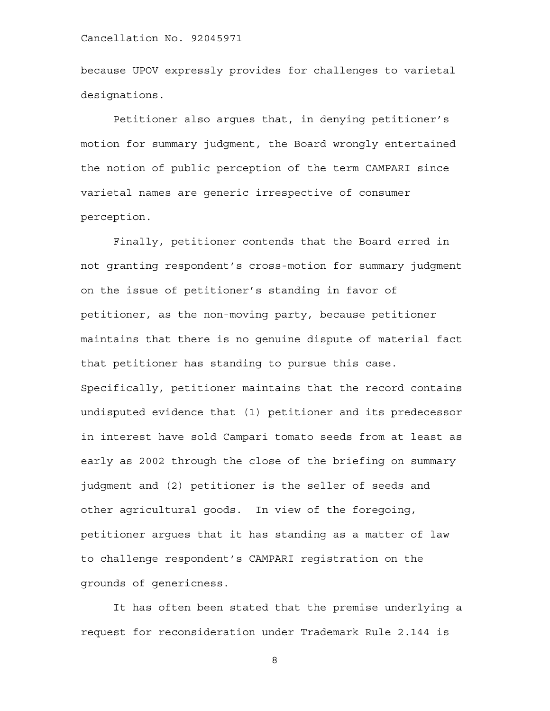because UPOV expressly provides for challenges to varietal designations.

Petitioner also argues that, in denying petitioner's motion for summary judgment, the Board wrongly entertained the notion of public perception of the term CAMPARI since varietal names are generic irrespective of consumer perception.

Finally, petitioner contends that the Board erred in not granting respondent's cross-motion for summary judgment on the issue of petitioner's standing in favor of petitioner, as the non-moving party, because petitioner maintains that there is no genuine dispute of material fact that petitioner has standing to pursue this case. Specifically, petitioner maintains that the record contains undisputed evidence that (1) petitioner and its predecessor in interest have sold Campari tomato seeds from at least as early as 2002 through the close of the briefing on summary judgment and (2) petitioner is the seller of seeds and other agricultural goods. In view of the foregoing, petitioner argues that it has standing as a matter of law to challenge respondent's CAMPARI registration on the grounds of genericness.

It has often been stated that the premise underlying a request for reconsideration under Trademark Rule 2.144 is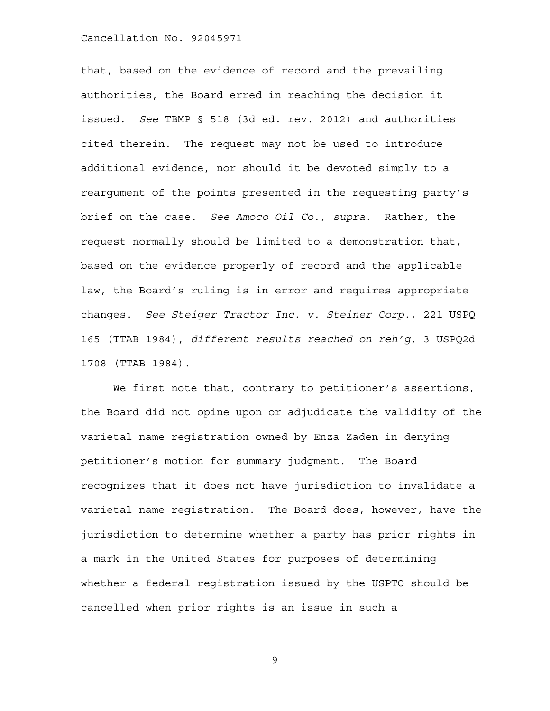that, based on the evidence of record and the prevailing authorities, the Board erred in reaching the decision it issued. *See* TBMP § 518 (3d ed. rev. 2012) and authorities cited therein. The request may not be used to introduce additional evidence, nor should it be devoted simply to a reargument of the points presented in the requesting party's brief on the case. *See Amoco Oil Co., supra.* Rather, the request normally should be limited to a demonstration that, based on the evidence properly of record and the applicable law, the Board's ruling is in error and requires appropriate changes. *See Steiger Tractor Inc. v. Steiner Corp.*, 221 USPQ 165 (TTAB 1984), *different results reached on reh'g*, 3 USPQ2d 1708 (TTAB 1984).

We first note that, contrary to petitioner's assertions, the Board did not opine upon or adjudicate the validity of the varietal name registration owned by Enza Zaden in denying petitioner's motion for summary judgment. The Board recognizes that it does not have jurisdiction to invalidate a varietal name registration. The Board does, however, have the jurisdiction to determine whether a party has prior rights in a mark in the United States for purposes of determining whether a federal registration issued by the USPTO should be cancelled when prior rights is an issue in such a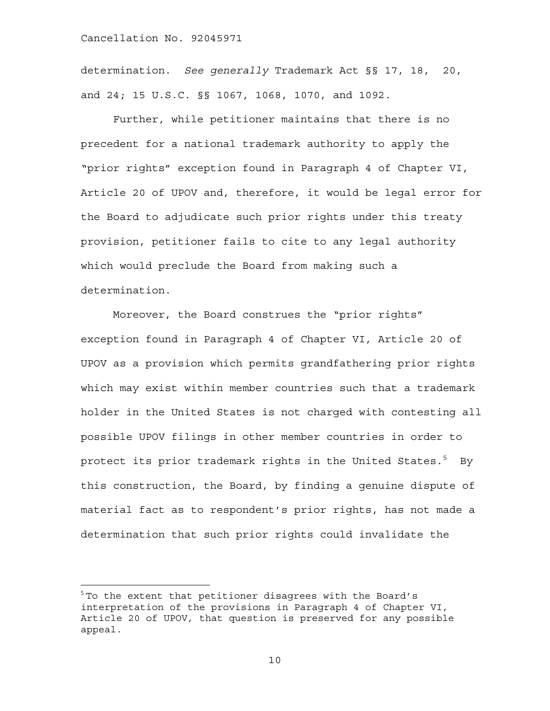1

determination. *See generally* Trademark Act §§ 17, 18, 20, and 24; 15 U.S.C. §§ 1067, 1068, 1070, and 1092.

Further, while petitioner maintains that there is no precedent for a national trademark authority to apply the "prior rights" exception found in Paragraph 4 of Chapter VI, Article 20 of UPOV and, therefore, it would be legal error for the Board to adjudicate such prior rights under this treaty provision, petitioner fails to cite to any legal authority which would preclude the Board from making such a determination.

Moreover, the Board construes the "prior rights" exception found in Paragraph 4 of Chapter VI, Article 20 of UPOV as a provision which permits grandfathering prior rights which may exist within member countries such that a trademark holder in the United States is not charged with contesting all possible UPOV filings in other member countries in order to protect its prior trademark rights in the United States. $^5\quad$  By this construction, the Board, by finding a genuine dispute of material fact as to respondent's prior rights, has not made a determination that such prior rights could invalidate the

 $^5$  To the extent that petitioner disagrees with the Board's interpretation of the provisions in Paragraph 4 of Chapter VI, Article 20 of UPOV, that question is preserved for any possible appeal.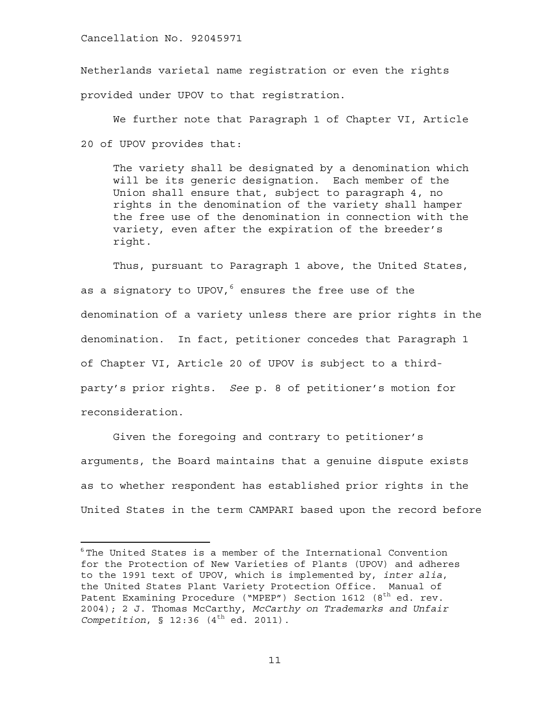$\overline{a}$ 

Netherlands varietal name registration or even the rights provided under UPOV to that registration.

We further note that Paragraph 1 of Chapter VI, Article 20 of UPOV provides that:

The variety shall be designated by a denomination which will be its generic designation. Each member of the Union shall ensure that, subject to paragraph 4, no rights in the denomination of the variety shall hamper the free use of the denomination in connection with the variety, even after the expiration of the breeder's right.

Thus, pursuant to Paragraph 1 above, the United States, as a signatory to UPOV,<sup>6</sup> ensures the free use of the denomination of a variety unless there are prior rights in the denomination. In fact, petitioner concedes that Paragraph 1 of Chapter VI, Article 20 of UPOV is subject to a thirdparty's prior rights. *See* p. 8 of petitioner's motion for reconsideration.

Given the foregoing and contrary to petitioner's arguments, the Board maintains that a genuine dispute exists as to whether respondent has established prior rights in the United States in the term CAMPARI based upon the record before

 $6$ The United States is a member of the International Convention for the Protection of New Varieties of Plants (UPOV) and adheres to the 1991 text of UPOV, which is implemented by, *inter alia*, the United States Plant Variety Protection Office. Manual of Patent Examining Procedure ("MPEP") Section 1612 (8<sup>th</sup> ed. rev. 2004); 2 J. Thomas McCarthy, *McCarthy on Trademarks and Unfair Competition*,  $\S$  12:36 (4<sup>th</sup> ed. 2011).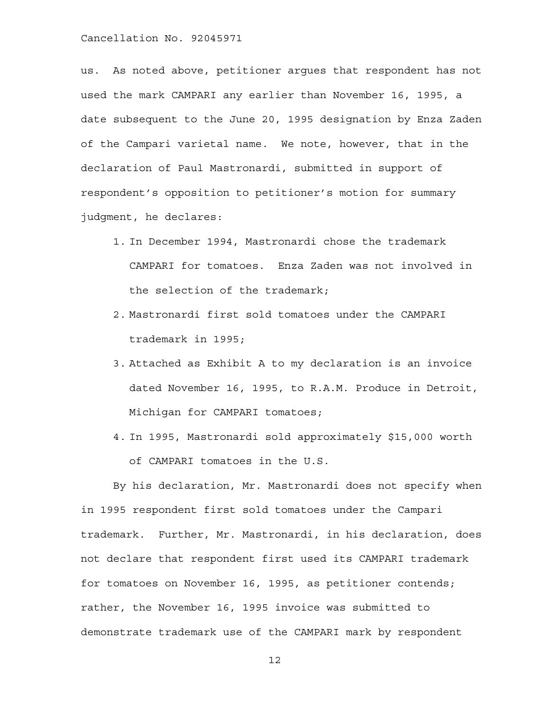us. As noted above, petitioner argues that respondent has not used the mark CAMPARI any earlier than November 16, 1995, a date subsequent to the June 20, 1995 designation by Enza Zaden of the Campari varietal name. We note, however, that in the declaration of Paul Mastronardi, submitted in support of respondent's opposition to petitioner's motion for summary judgment, he declares:

- 1. In December 1994, Mastronardi chose the trademark CAMPARI for tomatoes. Enza Zaden was not involved in the selection of the trademark;
- 2. Mastronardi first sold tomatoes under the CAMPARI trademark in 1995;
- 3. Attached as Exhibit A to my declaration is an invoice dated November 16, 1995, to R.A.M. Produce in Detroit, Michigan for CAMPARI tomatoes;
- 4. In 1995, Mastronardi sold approximately \$15,000 worth of CAMPARI tomatoes in the U.S.

By his declaration, Mr. Mastronardi does not specify when in 1995 respondent first sold tomatoes under the Campari trademark. Further, Mr. Mastronardi, in his declaration, does not declare that respondent first used its CAMPARI trademark for tomatoes on November 16, 1995, as petitioner contends; rather, the November 16, 1995 invoice was submitted to demonstrate trademark use of the CAMPARI mark by respondent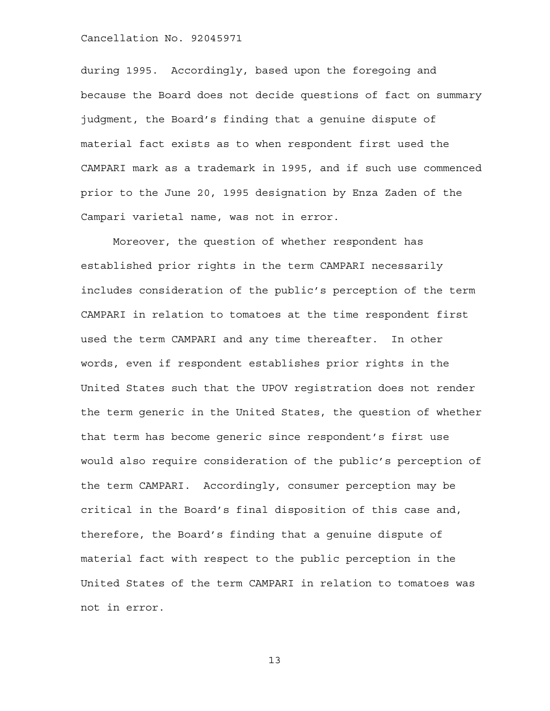during 1995. Accordingly, based upon the foregoing and because the Board does not decide questions of fact on summary judgment, the Board's finding that a genuine dispute of material fact exists as to when respondent first used the CAMPARI mark as a trademark in 1995, and if such use commenced prior to the June 20, 1995 designation by Enza Zaden of the Campari varietal name, was not in error.

Moreover, the question of whether respondent has established prior rights in the term CAMPARI necessarily includes consideration of the public's perception of the term CAMPARI in relation to tomatoes at the time respondent first used the term CAMPARI and any time thereafter. In other words, even if respondent establishes prior rights in the United States such that the UPOV registration does not render the term generic in the United States, the question of whether that term has become generic since respondent's first use would also require consideration of the public's perception of the term CAMPARI. Accordingly, consumer perception may be critical in the Board's final disposition of this case and, therefore, the Board's finding that a genuine dispute of material fact with respect to the public perception in the United States of the term CAMPARI in relation to tomatoes was not in error.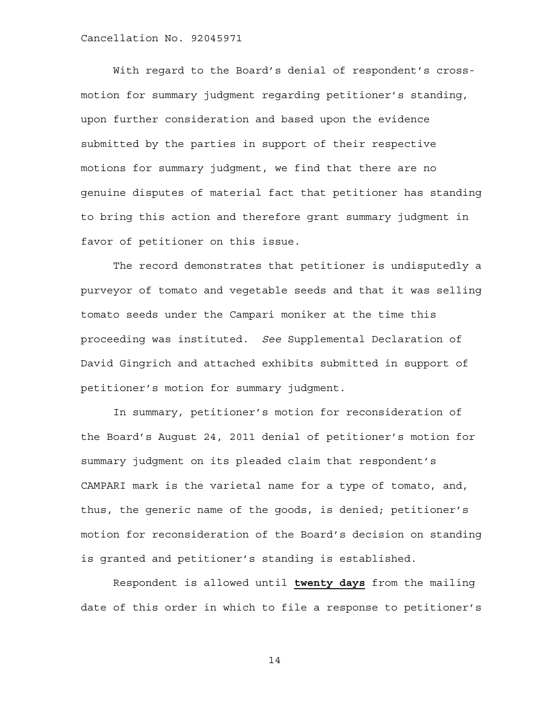With regard to the Board's denial of respondent's crossmotion for summary judgment regarding petitioner's standing, upon further consideration and based upon the evidence submitted by the parties in support of their respective motions for summary judgment, we find that there are no genuine disputes of material fact that petitioner has standing to bring this action and therefore grant summary judgment in favor of petitioner on this issue.

The record demonstrates that petitioner is undisputedly a purveyor of tomato and vegetable seeds and that it was selling tomato seeds under the Campari moniker at the time this proceeding was instituted. *See* Supplemental Declaration of David Gingrich and attached exhibits submitted in support of petitioner's motion for summary judgment.

In summary, petitioner's motion for reconsideration of the Board's August 24, 2011 denial of petitioner's motion for summary judgment on its pleaded claim that respondent's CAMPARI mark is the varietal name for a type of tomato, and, thus, the generic name of the goods, is denied; petitioner's motion for reconsideration of the Board's decision on standing is granted and petitioner's standing is established.

Respondent is allowed until **twenty days** from the mailing date of this order in which to file a response to petitioner's